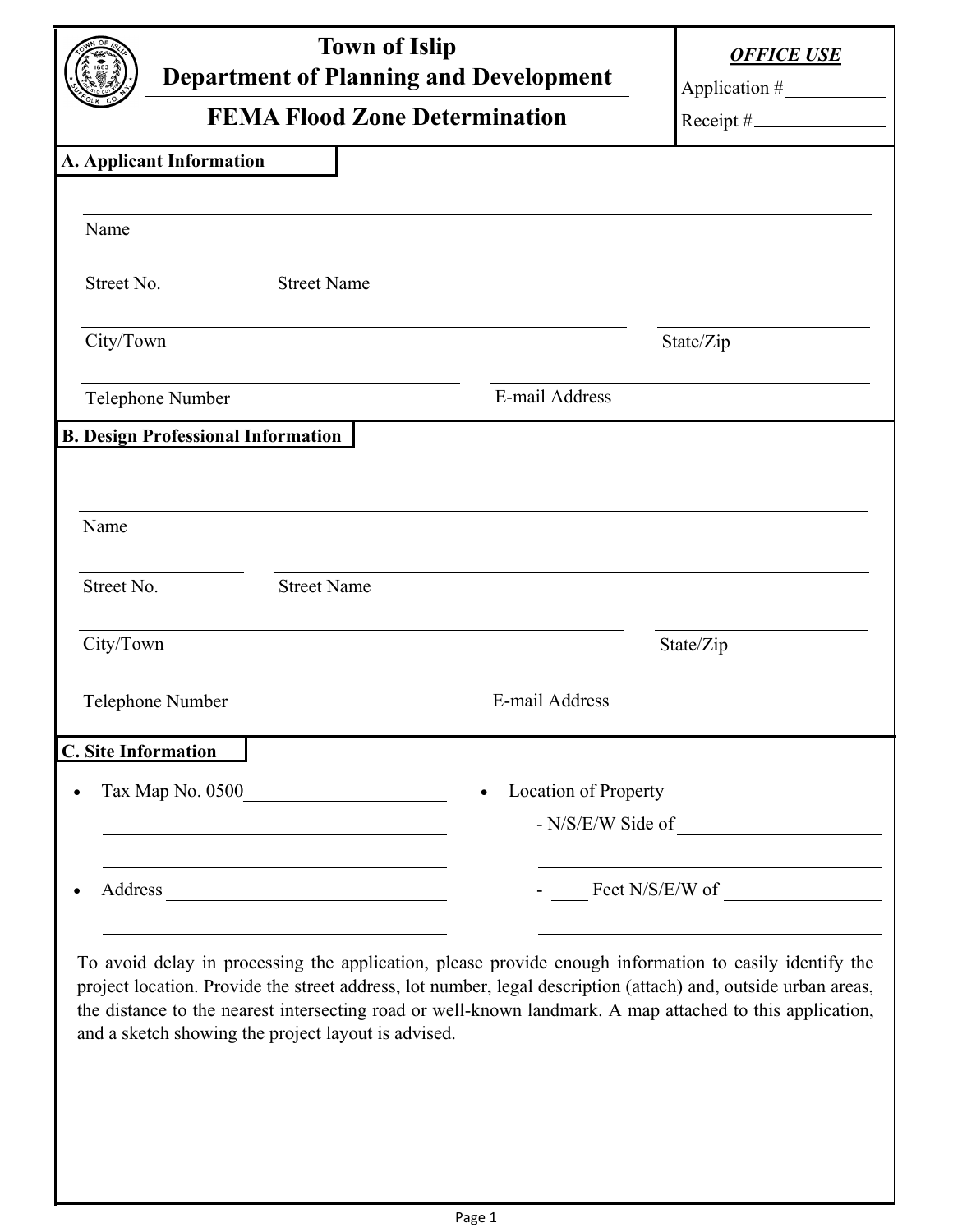| <b>Town of Islip</b><br><b>Department of Planning and Development</b>                                                                                                                                                                                                                                                                 |                    |                                                                                                                                                                                                                                                                                                                                                                                                                      | <b>OFFICE USE</b> |
|---------------------------------------------------------------------------------------------------------------------------------------------------------------------------------------------------------------------------------------------------------------------------------------------------------------------------------------|--------------------|----------------------------------------------------------------------------------------------------------------------------------------------------------------------------------------------------------------------------------------------------------------------------------------------------------------------------------------------------------------------------------------------------------------------|-------------------|
| <b>FEMA Flood Zone Determination</b>                                                                                                                                                                                                                                                                                                  |                    |                                                                                                                                                                                                                                                                                                                                                                                                                      | $Receipt \#$      |
| A. Applicant Information                                                                                                                                                                                                                                                                                                              |                    |                                                                                                                                                                                                                                                                                                                                                                                                                      |                   |
| Name                                                                                                                                                                                                                                                                                                                                  |                    |                                                                                                                                                                                                                                                                                                                                                                                                                      |                   |
| Street No.                                                                                                                                                                                                                                                                                                                            | <b>Street Name</b> |                                                                                                                                                                                                                                                                                                                                                                                                                      |                   |
| City/Town                                                                                                                                                                                                                                                                                                                             |                    |                                                                                                                                                                                                                                                                                                                                                                                                                      | State/Zip         |
| Telephone Number                                                                                                                                                                                                                                                                                                                      |                    | E-mail Address                                                                                                                                                                                                                                                                                                                                                                                                       |                   |
| <b>B. Design Professional Information</b>                                                                                                                                                                                                                                                                                             |                    |                                                                                                                                                                                                                                                                                                                                                                                                                      |                   |
|                                                                                                                                                                                                                                                                                                                                       |                    |                                                                                                                                                                                                                                                                                                                                                                                                                      |                   |
| Name                                                                                                                                                                                                                                                                                                                                  |                    |                                                                                                                                                                                                                                                                                                                                                                                                                      |                   |
| Street No.                                                                                                                                                                                                                                                                                                                            | <b>Street Name</b> |                                                                                                                                                                                                                                                                                                                                                                                                                      |                   |
| City/Town                                                                                                                                                                                                                                                                                                                             |                    |                                                                                                                                                                                                                                                                                                                                                                                                                      | State/Zip         |
| Telephone Number                                                                                                                                                                                                                                                                                                                      |                    | E-mail Address                                                                                                                                                                                                                                                                                                                                                                                                       |                   |
| <b>C.</b> Site Information                                                                                                                                                                                                                                                                                                            |                    |                                                                                                                                                                                                                                                                                                                                                                                                                      |                   |
|                                                                                                                                                                                                                                                                                                                                       |                    | <b>Location of Property</b>                                                                                                                                                                                                                                                                                                                                                                                          |                   |
|                                                                                                                                                                                                                                                                                                                                       |                    |                                                                                                                                                                                                                                                                                                                                                                                                                      |                   |
|                                                                                                                                                                                                                                                                                                                                       |                    | $\frac{1}{\sqrt{1-\frac{1}{2}}\sqrt{1-\frac{1}{2}}\sqrt{1-\frac{1}{2}}\sqrt{1-\frac{1}{2}}\sqrt{1-\frac{1}{2}}\sqrt{1-\frac{1}{2}}\sqrt{1-\frac{1}{2}}\sqrt{1-\frac{1}{2}}\sqrt{1-\frac{1}{2}}\sqrt{1-\frac{1}{2}}\sqrt{1-\frac{1}{2}}\sqrt{1-\frac{1}{2}}\sqrt{1-\frac{1}{2}}\sqrt{1-\frac{1}{2}}\sqrt{1-\frac{1}{2}}\sqrt{1-\frac{1}{2}}\sqrt{1-\frac{1}{2}}\sqrt{1-\frac{1}{2}}\sqrt{1-\frac{1}{2}}\sqrt{1-\frac$ |                   |
| To avoid delay in processing the application, please provide enough information to easily identify the<br>project location. Provide the street address, lot number, legal description (attach) and, outside urban areas,<br>the distance to the nearest intersecting road or well-known landmark. A map attached to this application, |                    |                                                                                                                                                                                                                                                                                                                                                                                                                      |                   |

and a sketch showing the project layout is advised.